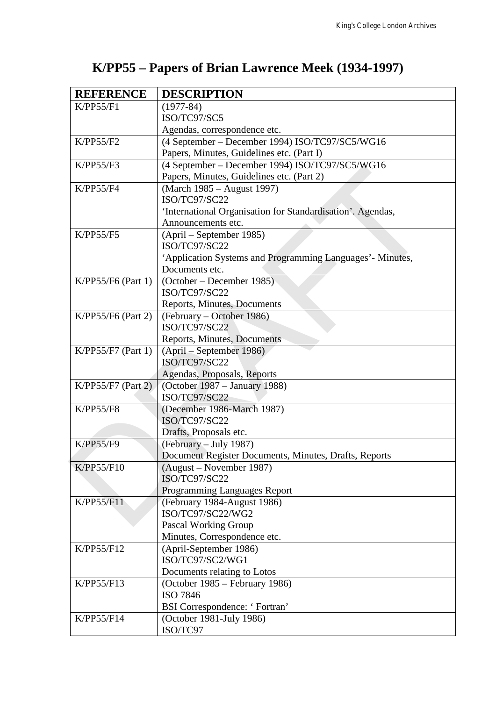## **K/PP55 – Papers of Brian Lawrence Meek (1934-1997)**

| <b>REFERENCE</b>                         | <b>DESCRIPTION</b>                                         |
|------------------------------------------|------------------------------------------------------------|
| K/PP55/F1                                | $(1977-84)$                                                |
|                                          | ISO/TC97/SC5                                               |
|                                          | Agendas, correspondence etc.                               |
| K/PP55/F2                                | (4 September – December 1994) ISO/TC97/SC5/WG16            |
|                                          | Papers, Minutes, Guidelines etc. (Part I)                  |
| K/PP55/F3                                | (4 September – December 1994) ISO/TC97/SC5/WG16            |
|                                          | Papers, Minutes, Guidelines etc. (Part 2)                  |
| K/PP55/F4                                | (March 1985 – August 1997)                                 |
|                                          | ISO/TC97/SC22                                              |
|                                          | 'International Organisation for Standardisation'. Agendas, |
|                                          | Announcements etc.                                         |
| K/PP55/F5                                | (April – September 1985)                                   |
|                                          | ISO/TC97/SC22                                              |
|                                          | 'Application Systems and Programming Languages' - Minutes, |
|                                          | Documents etc.                                             |
| $K/PP55/F6$ (Part 1)                     | (October – December 1985)                                  |
|                                          | ISO/TC97/SC22                                              |
|                                          | Reports, Minutes, Documents                                |
| K/PP55/F6 (Part 2)<br>K/PP55/F7 (Part 1) | (February – October 1986)                                  |
|                                          | ISO/TC97/SC22                                              |
|                                          | Reports, Minutes, Documents                                |
|                                          | (April – September 1986)                                   |
|                                          | ISO/TC97/SC22                                              |
|                                          | Agendas, Proposals, Reports                                |
| K/PP55/F7 (Part 2)                       | (October 1987 – January 1988)<br>ISO/TC97/SC22             |
| <b>K/PP55/F8</b>                         | (December 1986-March 1987)                                 |
|                                          | ISO/TC97/SC22                                              |
|                                          | Drafts, Proposals etc.                                     |
| <b>K/PP55/F9</b>                         | (February - July 1987)                                     |
|                                          | Document Register Documents, Minutes, Drafts, Reports      |
| K/PP55/F10                               | $(August - November 1987)$                                 |
|                                          | ISO/TC97/SC22                                              |
|                                          | Programming Languages Report                               |
| K/PP55/F11                               | (February 1984-August 1986)                                |
|                                          | ISO/TC97/SC22/WG2                                          |
|                                          | Pascal Working Group                                       |
|                                          | Minutes, Correspondence etc.                               |
| K/PP55/F12                               | (April-September 1986)                                     |
|                                          | ISO/TC97/SC2/WG1                                           |
|                                          | Documents relating to Lotos                                |
| K/PP55/F13                               | (October 1985 – February 1986)                             |
|                                          | ISO 7846                                                   |
|                                          | <b>BSI</b> Correspondence: 'Fortran'                       |
| K/PP55/F14                               | (October 1981-July 1986)                                   |
|                                          | ISO/TC97                                                   |